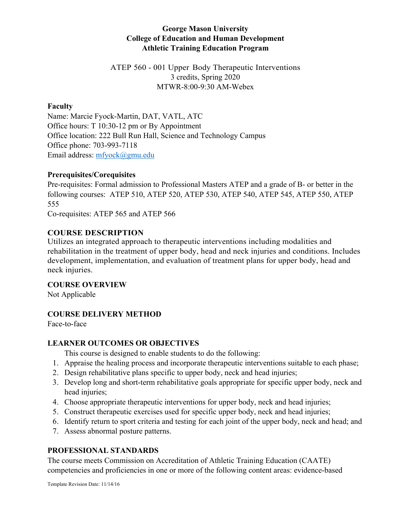## **George Mason University College of Education and Human Development Athletic Training Education Program**

ATEP 560 - 001 Upper Body Therapeutic Interventions 3 credits, Spring 2020 MTWR-8:00-9:30 AM-Webex

### **Faculty**

Name: Marcie Fyock-Martin, DAT, VATL, ATC Office hours: T 10:30-12 pm or By Appointment Office location: 222 Bull Run Hall, Science and Technology Campus Office phone: 703-993-7118 Email address: mfyock@gmu.edu

#### **Prerequisites/Corequisites**

Pre-requisites: Formal admission to Professional Masters ATEP and a grade of B- or better in the following courses: ATEP 510, ATEP 520, ATEP 530, ATEP 540, ATEP 545, ATEP 550, ATEP 555

Co-requisites: ATEP 565 and ATEP 566

## **COURSE DESCRIPTION**

Utilizes an integrated approach to therapeutic interventions including modalities and rehabilitation in the treatment of upper body, head and neck injuries and conditions. Includes development, implementation, and evaluation of treatment plans for upper body, head and neck injuries.

**COURSE OVERVIEW**

Not Applicable

## **COURSE DELIVERY METHOD**

Face-to-face

## **LEARNER OUTCOMES OR OBJECTIVES**

This course is designed to enable students to do the following:

- 1. Appraise the healing process and incorporate therapeutic interventions suitable to each phase;
- 2. Design rehabilitative plans specific to upper body, neck and head injuries;
- 3. Develop long and short-term rehabilitative goals appropriate for specific upper body, neck and head injuries;
- 4. Choose appropriate therapeutic interventions for upper body, neck and head injuries;
- 5. Construct therapeutic exercises used for specific upper body, neck and head injuries;
- 6. Identify return to sport criteria and testing for each joint of the upper body, neck and head; and
- 7. Assess abnormal posture patterns.

## **PROFESSIONAL STANDARDS**

The course meets Commission on Accreditation of Athletic Training Education (CAATE) competencies and proficiencies in one or more of the following content areas: evidence-based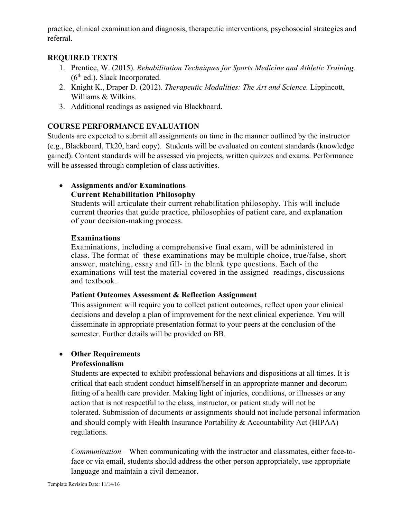practice, clinical examination and diagnosis, therapeutic interventions, psychosocial strategies and referral.

## **REQUIRED TEXTS**

- 1. Prentice, W. (2015). *Rehabilitation Techniques for Sports Medicine and Athletic Training.*   $(6<sup>th</sup>$  ed.). Slack Incorporated.
- 2. Knight K., Draper D. (2012). *Therapeutic Modalities: The Art and Science.* Lippincott, Williams & Wilkins.
- 3. Additional readings as assigned via Blackboard.

## **COURSE PERFORMANCE EVALUATION**

Students are expected to submit all assignments on time in the manner outlined by the instructor (e.g., Blackboard, Tk20, hard copy). Students will be evaluated on content standards (knowledge gained). Content standards will be assessed via projects, written quizzes and exams. Performance will be assessed through completion of class activities.

## • **Assignments and/or Examinations Current Rehabilitation Philosophy**

Students will articulate their current rehabilitation philosophy. This will include current theories that guide practice, philosophies of patient care, and explanation of your decision-making process.

## **Examinations**

Examinations, including a comprehensive final exam, will be administered in class. The format of these examinations may be multiple choice, true/false, short answer, matching, essay and fill- in the blank type questions. Each of the examinations will test the material covered in the assigned readings, discussions and textbook.

## **Patient Outcomes Assessment & Reflection Assignment**

This assignment will require you to collect patient outcomes, reflect upon your clinical decisions and develop a plan of improvement for the next clinical experience. You will disseminate in appropriate presentation format to your peers at the conclusion of the semester. Further details will be provided on BB.

## • **Other Requirements**

## **Professionalism**

Students are expected to exhibit professional behaviors and dispositions at all times. It is critical that each student conduct himself/herself in an appropriate manner and decorum fitting of a health care provider. Making light of injuries, conditions, or illnesses or any action that is not respectful to the class, instructor, or patient study will not be tolerated. Submission of documents or assignments should not include personal information and should comply with Health Insurance Portability & Accountability Act (HIPAA) regulations.

*Communication* – When communicating with the instructor and classmates, either face-toface or via email, students should address the other person appropriately, use appropriate language and maintain a civil demeanor.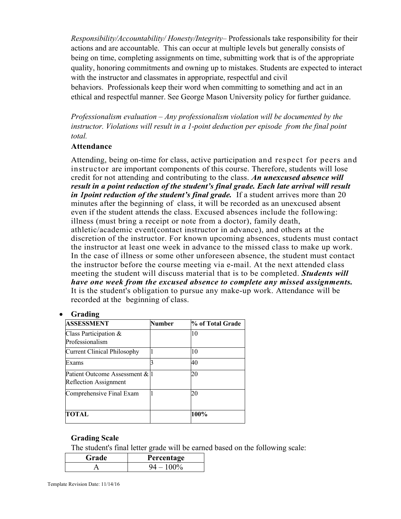*Responsibility/Accountability/ Honesty/Integrity*– Professionals take responsibility for their actions and are accountable. This can occur at multiple levels but generally consists of being on time, completing assignments on time, submitting work that is of the appropriate quality, honoring commitments and owning up to mistakes. Students are expected to interact with the instructor and classmates in appropriate, respectful and civil behaviors. Professionals keep their word when committing to something and act in an ethical and respectful manner. See George Mason University policy for further guidance.

*Professionalism evaluation – Any professionalism violation will be documented by the instructor. Violations will result in a 1-point deduction per episode from the final point total.*

#### **Attendance**

Attending, being on-time for class, active participation and respect for peers and instructor are important components of this course. Therefore, students will lose credit for not attending and contributing to the class. *An unexcused absence will result in a point reduction of the student's final grade. Each late arrival will result in 1 point reduction of the student's final grade.* If a student arrives more than 20 minutes after the beginning of class, it will be recorded as an unexcused absent even if the student attends the class. Excused absences include the following: illness (must bring a receipt or note from a doctor), family death, athletic/academic event(contact instructor in advance), and others at the discretion of the instructor. For known upcoming absences, students must contact the instructor at least one week in advance to the missed class to make up work. In the case of illness or some other unforeseen absence, the student must contact the instructor before the course meeting via e-mail. At the next attended class meeting the student will discuss material that is to be completed. *Students will have one week from the excused absence to complete any missed assignments.*  It is the student's obligation to pursue any make-up work. Attendance will be recorded at the beginning of class.

#### • **Grading**

| <b>ASSESSMENT</b>                                       | <b>Number</b> | % of Total Grade |
|---------------------------------------------------------|---------------|------------------|
| Class Participation &<br>Professionalism                |               | 10               |
| Current Clinical Philosophy                             |               | 10               |
| Exams                                                   |               | 40               |
| Patient Outcome Assessment & l<br>Reflection Assignment |               | 20               |
| Comprehensive Final Exam                                |               | 20               |
| TOTAL                                                   |               | 100%             |

## **Grading Scale**

The student's final letter grade will be earned based on the following scale:

| Grade | Percentage |  |
|-------|------------|--|
|       |            |  |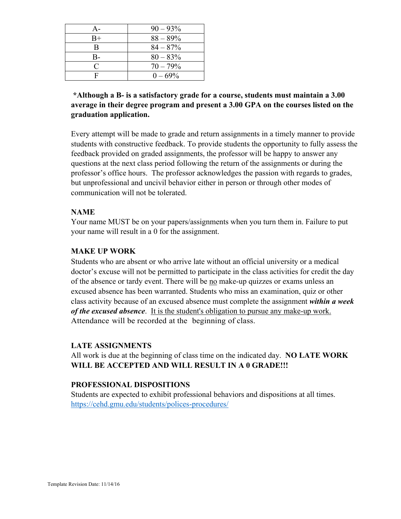| А-        | $90 - 93\%$ |
|-----------|-------------|
| $B+$      | $88 - 89\%$ |
| B         | $84 - 87%$  |
| $B -$     | $80 - 83\%$ |
| $\subset$ | $70 - 79\%$ |
| F         | $0 - 69\%$  |

## **\*Although a B- is a satisfactory grade for a course, students must maintain a 3.00 average in their degree program and present a 3.00 GPA on the courses listed on the graduation application.**

Every attempt will be made to grade and return assignments in a timely manner to provide students with constructive feedback. To provide students the opportunity to fully assess the feedback provided on graded assignments, the professor will be happy to answer any questions at the next class period following the return of the assignments or during the professor's office hours. The professor acknowledges the passion with regards to grades, but unprofessional and uncivil behavior either in person or through other modes of communication will not be tolerated.

## **NAME**

Your name MUST be on your papers/assignments when you turn them in. Failure to put your name will result in a 0 for the assignment.

#### **MAKE UP WORK**

Students who are absent or who arrive late without an official university or a medical doctor's excuse will not be permitted to participate in the class activities for credit the day of the absence or tardy event. There will be no make-up quizzes or exams unless an excused absence has been warranted. Students who miss an examination, quiz or other class activity because of an excused absence must complete the assignment *within a week of the excused absence*. It is the student's obligation to pursue any make-up work. Attendance will be recorded at the beginning of class.

#### **LATE ASSIGNMENTS**

All work is due at the beginning of class time on the indicated day. **NO LATE WORK WILL BE ACCEPTED AND WILL RESULT IN A 0 GRADE!!!** 

#### **PROFESSIONAL DISPOSITIONS**

Students are expected to exhibit professional behaviors and dispositions at all times. https://cehd.gmu.edu/students/polices-procedures/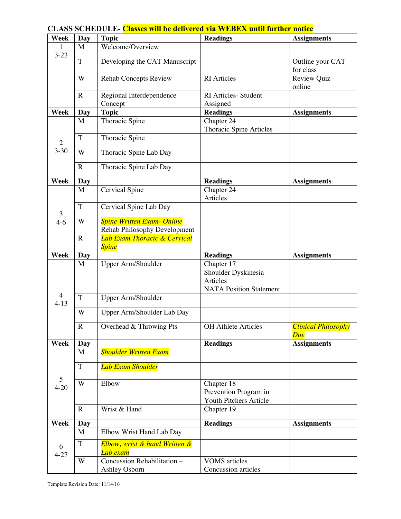| Week           | Day         | <b>Topic</b>                            | <b>Readings</b>                | <b>Assignments</b>         |
|----------------|-------------|-----------------------------------------|--------------------------------|----------------------------|
| 1              | M           | Welcome/Overview                        |                                |                            |
| $3 - 23$       |             |                                         |                                |                            |
|                | T           | Developing the CAT Manuscript           |                                | Outline your CAT           |
|                |             |                                         |                                | for class                  |
|                | W           | <b>Rehab Concepts Review</b>            | <b>RI</b> Articles             | Review Quiz -              |
|                |             |                                         |                                | online                     |
|                | $\mathbf R$ | Regional Interdependence                | RI Articles- Student           |                            |
|                |             | Concept                                 | Assigned                       |                            |
| <b>Week</b>    | Day         | <b>Topic</b>                            | <b>Readings</b>                | <b>Assignments</b>         |
|                | M           | Thoracic Spine                          | Chapter 24                     |                            |
|                |             |                                         | Thoracic Spine Articles        |                            |
| $\overline{2}$ | $\mathbf T$ | Thoracic Spine                          |                                |                            |
| $3 - 30$       | W           | Thoracic Spine Lab Day                  |                                |                            |
|                |             |                                         |                                |                            |
|                | $\mathbf R$ | Thoracic Spine Lab Day                  |                                |                            |
| Week           | <b>Day</b>  |                                         | <b>Readings</b>                | <b>Assignments</b>         |
|                | M           | Cervical Spine                          | Chapter 24                     |                            |
|                |             |                                         | Articles                       |                            |
|                | T           | Cervical Spine Lab Day                  |                                |                            |
| 3              |             |                                         |                                |                            |
| $4-6$          | W           | <b>Spine Written Exam- Online</b>       |                                |                            |
|                |             | <b>Rehab Philosophy Development</b>     |                                |                            |
|                | $\mathbf R$ | <b>Lab Exam Thoracic &amp; Cervical</b> |                                |                            |
| Week           |             | <b>Spine</b>                            |                                |                            |
|                | Day<br>M    | Upper Arm/Shoulder                      | <b>Readings</b><br>Chapter 17  | <b>Assignments</b>         |
|                |             |                                         | Shoulder Dyskinesia            |                            |
|                |             |                                         | Articles                       |                            |
|                |             |                                         | <b>NATA Position Statement</b> |                            |
| $\overline{4}$ | T           | Upper Arm/Shoulder                      |                                |                            |
| $4 - 13$       |             |                                         |                                |                            |
|                | W           | Upper Arm/Shoulder Lab Day              |                                |                            |
|                | ${\bf R}$   | Overhead & Throwing Pts                 | <b>OH</b> Athlete Articles     | <b>Clinical Philosophy</b> |
|                |             |                                         |                                | Due                        |
| Week           | Day         |                                         | <b>Readings</b>                | <b>Assignments</b>         |
|                | M           | <b>Shoulder Written Exam</b>            |                                |                            |
|                |             |                                         |                                |                            |
|                | T           | <b>Lab Exam Shoulder</b>                |                                |                            |
| 5              |             |                                         |                                |                            |
| $4 - 20$       | W           | Elbow                                   | Chapter $18$                   |                            |
|                |             |                                         | Prevention Program in          |                            |
|                |             |                                         | Youth Pitchers Article         |                            |
|                | $\mathbf R$ | Wrist & Hand                            | Chapter 19                     |                            |
| Week           | <b>Day</b>  |                                         | <b>Readings</b>                | <b>Assignments</b>         |
|                | M           | Elbow Wrist Hand Lab Day                |                                |                            |
|                | $\mathbf T$ | Elbow, wrist & hand Written &           |                                |                            |
| 6              |             | Lab exam                                |                                |                            |
| $4 - 27$       | W           | Concussion Rehabilitation -             | <b>VOMS</b> articles           |                            |
|                |             | Ashley Osborn                           | Concussion articles            |                            |

# **CLASS SCHEDULE- Classes will be delivered via WEBEX until further notice**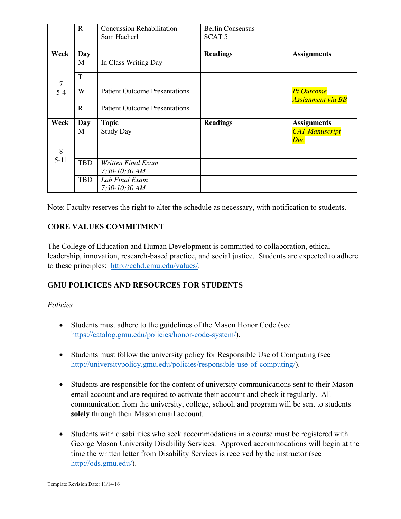|                | R           | Concussion Rehabilitation -          | <b>Berlin Consensus</b> |                                               |
|----------------|-------------|--------------------------------------|-------------------------|-----------------------------------------------|
|                |             | Sam Hacherl                          | SCAT <sub>5</sub>       |                                               |
|                |             |                                      |                         |                                               |
| Week           | Day         |                                      | <b>Readings</b>         | <b>Assignments</b>                            |
|                | M           | In Class Writing Day                 |                         |                                               |
| $\overline{7}$ | T           |                                      |                         |                                               |
| $5-4$          | W           | <b>Patient Outcome Presentations</b> |                         | <b>Pt Outcome</b><br><b>Assignment via BB</b> |
|                | $\mathbf R$ | <b>Patient Outcome Presentations</b> |                         |                                               |
| Week           | <b>Day</b>  | <b>Topic</b>                         | <b>Readings</b>         | <b>Assignments</b>                            |
|                | M           | <b>Study Day</b>                     |                         | <b>CAT Manuscript</b><br>Due                  |
| 8              |             |                                      |                         |                                               |
| $5 - 11$       | <b>TBD</b>  | <b>Written Final Exam</b>            |                         |                                               |
|                |             | 7:30-10:30 AM                        |                         |                                               |
|                | <b>TBD</b>  | Lab Final Exam                       |                         |                                               |
|                |             | 7:30-10:30 AM                        |                         |                                               |

Note: Faculty reserves the right to alter the schedule as necessary, with notification to students.

## **CORE VALUES COMMITMENT**

The College of Education and Human Development is committed to collaboration, ethical leadership, innovation, research-based practice, and social justice. Students are expected to adhere to these principles: http://cehd.gmu.edu/values/.

## **GMU POLICICES AND RESOURCES FOR STUDENTS**

## *Policies*

- Students must adhere to the guidelines of the Mason Honor Code (see https://catalog.gmu.edu/policies/honor-code-system/).
- Students must follow the university policy for Responsible Use of Computing (see http://universitypolicy.gmu.edu/policies/responsible-use-of-computing/).
- Students are responsible for the content of university communications sent to their Mason email account and are required to activate their account and check it regularly. All communication from the university, college, school, and program will be sent to students **solely** through their Mason email account.
- Students with disabilities who seek accommodations in a course must be registered with George Mason University Disability Services. Approved accommodations will begin at the time the written letter from Disability Services is received by the instructor (see http://ods.gmu.edu/).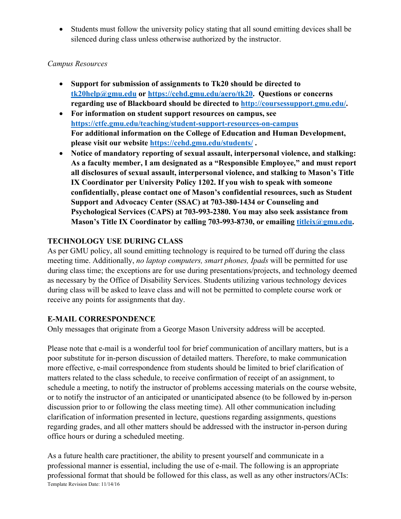• Students must follow the university policy stating that all sound emitting devices shall be silenced during class unless otherwise authorized by the instructor.

## *Campus Resources*

- **Support for submission of assignments to Tk20 should be directed to tk20help@gmu.edu or https://cehd.gmu.edu/aero/tk20. Questions or concerns regarding use of Blackboard should be directed to http://coursessupport.gmu.edu/.**
- **For information on student support resources on campus, see https://ctfe.gmu.edu/teaching/student-support-resources-on-campus For additional information on the College of Education and Human Development, please visit our website https://cehd.gmu.edu/students/ .**
- **Notice of mandatory reporting of sexual assault, interpersonal violence, and stalking: As a faculty member, I am designated as a "Responsible Employee," and must report all disclosures of sexual assault, interpersonal violence, and stalking to Mason's Title IX Coordinator per University Policy 1202. If you wish to speak with someone confidentially, please contact one of Mason's confidential resources, such as Student Support and Advocacy Center (SSAC) at 703-380-1434 or Counseling and Psychological Services (CAPS) at 703-993-2380. You may also seek assistance from Mason's Title IX Coordinator by calling 703-993-8730, or emailing titleix@gmu.edu.**

## **TECHNOLOGY USE DURING CLASS**

As per GMU policy, all sound emitting technology is required to be turned off during the class meeting time. Additionally, *no laptop computers, smart phones, Ipads* will be permitted for use during class time; the exceptions are for use during presentations/projects, and technology deemed as necessary by the Office of Disability Services. Students utilizing various technology devices during class will be asked to leave class and will not be permitted to complete course work or receive any points for assignments that day.

## **E-MAIL CORRESPONDENCE**

Only messages that originate from a George Mason University address will be accepted.

Please note that e-mail is a wonderful tool for brief communication of ancillary matters, but is a poor substitute for in-person discussion of detailed matters. Therefore, to make communication more effective, e-mail correspondence from students should be limited to brief clarification of matters related to the class schedule, to receive confirmation of receipt of an assignment, to schedule a meeting, to notify the instructor of problems accessing materials on the course website, or to notify the instructor of an anticipated or unanticipated absence (to be followed by in-person discussion prior to or following the class meeting time). All other communication including clarification of information presented in lecture, questions regarding assignments, questions regarding grades, and all other matters should be addressed with the instructor in-person during office hours or during a scheduled meeting.

Template Revision Date: 11/14/16 As a future health care practitioner, the ability to present yourself and communicate in a professional manner is essential, including the use of e-mail. The following is an appropriate professional format that should be followed for this class, as well as any other instructors/ACIs: